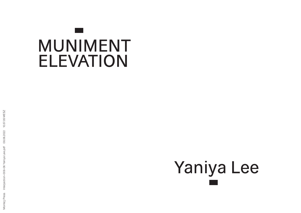## MUNIMENT ELEVATION

## Yaniya Lee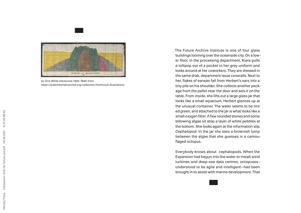

by *Orra White Hitchcock* (1828–1840) from https://publicdomainreview.org/collection/hitchcock-illustrations

The Future Archive Institute is one of four glass buildings looming over the oceanside city. On a low er floor, in the processing department, Kiera pulls a lollipop out of a pocket in her grey uniform and looks around at her coworkers. They are dressed in the same drab, department issue coveralls. Next to her, flakes of earwax fall from Herbert's ears into a tiny pile on his shoulder. She collects another pack age from the pallet near the door and sets it on the table. From inside, she lifts out a large glass jar that looks like a small aquarium. Herbert glances up at the unusual container. The water seems to be tint ed green, and attached to the jar is what looks like a small oxygen filter. A few rounded stones and some billowing algae sit atop a layer of white pebbles at the bottom. She looks again at the information slip. *Cephalopod.* In the jar she sees a brownish lump between the algae that she guesses is a camou flaged octopus.

Everybody knows about cephalopods. When the Expansion had begun into the water to install wind turbines and deep-sea data centres, octopuses understood to be agile and intelligent—had been brought in to assist with marine development. That

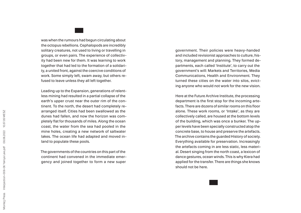was when the rumours had begun circulating about the octopus rebellions. Cephalopods are incredibly solitary creatures, not used to living or travelling in groups, or even pairs. The experience of collectiv ity had been new for them. It was learning to work together that had led to the formation of a solidari ty, a united front, against the coercive conditions of work. Some simply left, swam away, but others re fused to leave unless they all left together.

Leading up to the Expansion, generations of relent less mining had resulted in a partial collapse of the earth's upper crust near the outer rim of the con tinent. To the north, the desert had completely re arranged itself. Cities had been swallowed as the dunes had fallen, and now the horizon was com pletely flat for thousands of miles. Along the ocean coast, the water from the sea had pooled in the mine holes, creating a new network of saltwater lakes. The ocean life had adapted and moved in land to populate these pools.

The governments of the countries on this part of the continent had convened in the immediate emer gency and joined together to form a new super

government. Their policies were heavy-handed and included revisionist approaches to culture, his tory, management and planning. They formed de partments, each called 'Institute', to carry out the government's will: Markets and Territories, Media Communications, Health and Environment. They turned these cities on the water into silos, evict ing anyone who would not work for the new vision.

Here at the Future Archive Institute, the processing department is the first stop for the incoming arte facts. There are dozens of similar rooms on this floor alone. These work rooms, or 'Intake', as they are collectively called, are housed at the bottom levels of the building, which was once a bunker. The up per levels have been specially constructed atop the concrete base, to house and preserve the artefacts. The archive contains the guarded History of society. Everything available for preservation. Increasingly the artefacts coming in are less static, less materi al. Desert singing from the north coast, a lexicon of dance gestures, ocean winds. This is why Kiera had applied for the transfer. There are things she knows should not be here.

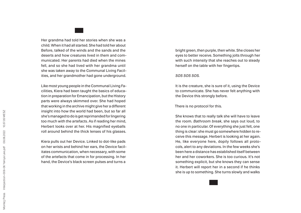Her grandma had told her stories when she was a child. When it had all started. She had told her about Before, talked of the winds and the sands and the deserts and how creatures lived in them and com municated. Her parents had died when the mines fell, and so she had lived with her grandma until she was taken away to the Communal Living Facil ities, and her grandmother had gone underground.

Like most young people in the Communal Living Fa cilities, Kiera had been taught the basics of educa tion in preparation for Emancipation, but the History parts were always skimmed over. She had hoped that working in the archive might give her a different insight into how the world had been, but so far all she's managed to do is get reprimanded for lingering too much with the artefacts. As if reading her mind, Herbert looks over at her. His magnified eyeballs roll around behind the thick lenses of his glasses.

Kiera pulls out her Device. Linked to dot-like pads on her wrists and behind her ears, the Device facil itates communication, when necessary, with some of the artefacts that come in for processing. In her hand, the Device's black screen pulses and turns a

bright green, then purple, then white. She closes her eyes to better receive. Something jolts through her with such intensity that she reaches out to steady herself on the table with her fingertips.

*SOS SOS SOS.*

It is the creature, she is sure of it, using the Device to communicate. She has never felt anything with the Device this strongly before.

There is no protocol for this.

She knows that to really talk she will have to leave the room. *Bathroom break*, she says out loud, to no one in particular. Of everything she just felt, one thing is clear: she must go somewhere hidden to re ceive this message. Herbert is looking at her again. He, like everyone here, dopily follows all proto cols, alert to any deviations. In the few weeks she's been here a distance has established itself between her and her coworkers. She is too curious. It's not something explicit, but she knows they can sense it. Herbert will report her in a second if he thinks she is up to something. She turns slowly and walks